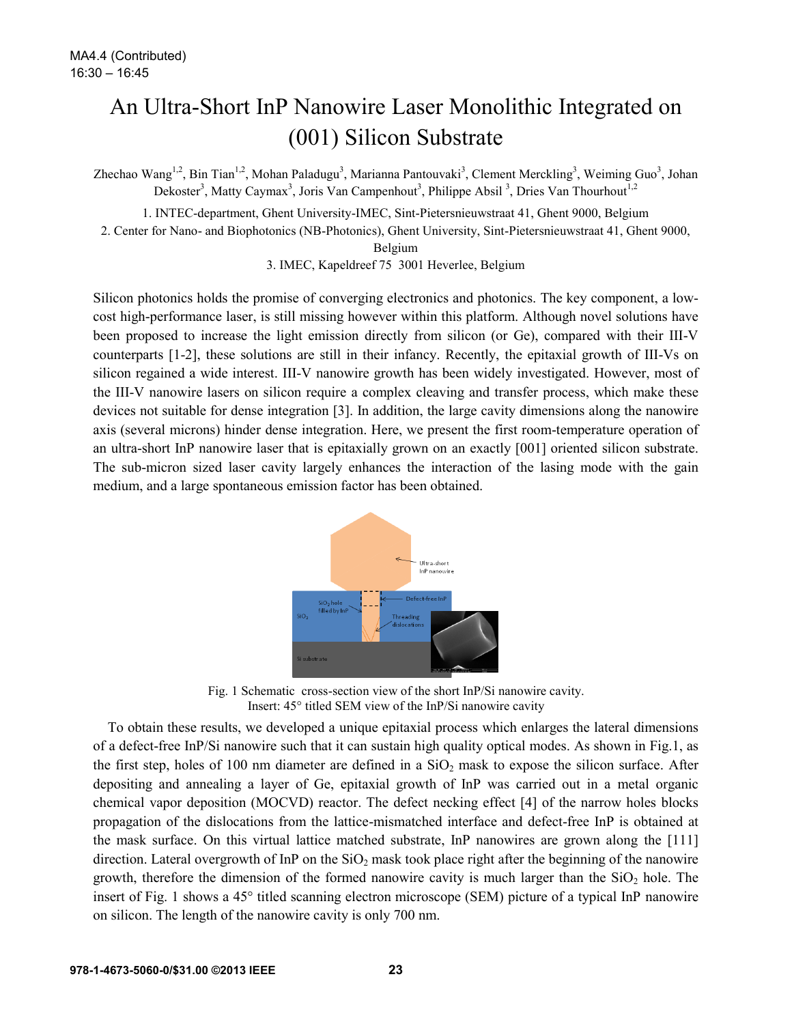## An Ultra-Short InP Nanowire Laser Monolithic Integrated on (001) Silicon Substrate

Zhechao Wang<sup>1,2</sup>, Bin Tian<sup>1,2</sup>, Mohan Paladugu<sup>3</sup>, Marianna Pantouvaki<sup>3</sup>, Clement Merckling<sup>3</sup>, Weiming Guo<sup>3</sup>, Johan Dekoster<sup>3</sup>, Matty Caymax<sup>3</sup>, Joris Van Campenhout<sup>3</sup>, Philippe Absil<sup>3</sup>, Dries Van Thourhout<sup>1,2</sup>

1. INTEC-department, Ghent University-IMEC, Sint-Pietersnieuwstraat 41, Ghent 9000, Belgium

2. Center for Nano- and Biophotonics (NB-Photonics), Ghent University, Sint-Pietersnieuwstraat 41, Ghent 9000,

Belgium

3. IMEC, Kapeldreef 75 3001 Heverlee, Belgium

Silicon photonics holds the promise of converging electronics and photonics. The key component, a lowcost high-performance laser, is still missing however within this platform. Although novel solutions have been proposed to increase the light emission directly from silicon (or Ge), compared with their III-V counterparts [1-2], these solutions are still in their infancy. Recently, the epitaxial growth of III-Vs on silicon regained a wide interest. III-V nanowire growth has been widely investigated. However, most of the III-V nanowire lasers on silicon require a complex cleaving and transfer process, which make these devices not suitable for dense integration [3]. In addition, the large cavity dimensions along the nanowire axis (several microns) hinder dense integration. Here, we present the first room-temperature operation of an ultra-short InP nanowire laser that is epitaxially grown on an exactly [001] oriented silicon substrate. The sub-micron sized laser cavity largely enhances the interaction of the lasing mode with the gain medium, and a large spontaneous emission factor has been obtained.



Fig. 1 Schematic cross-section view of the short InP/Si nanowire cavity. Insert: 45° titled SEM view of the InP/Si nanowire cavity

To obtain these results, we developed a unique epitaxial process which enlarges the lateral dimensions of a defect-free InP/Si nanowire such that it can sustain high quality optical modes. As shown in Fig.1, as the first step, holes of 100 nm diameter are defined in a  $SiO<sub>2</sub>$  mask to expose the silicon surface. After depositing and annealing a layer of Ge, epitaxial growth of InP was carried out in a metal organic chemical vapor deposition (MOCVD) reactor. The defect necking effect [4] of the narrow holes blocks propagation of the dislocations from the lattice-mismatched interface and defect-free InP is obtained at the mask surface. On this virtual lattice matched substrate, InP nanowires are grown along the [111] direction. Lateral overgrowth of InP on the  $SiO<sub>2</sub>$  mask took place right after the beginning of the nanowire growth, therefore the dimension of the formed nanowire cavity is much larger than the  $SiO<sub>2</sub>$  hole. The insert of Fig. 1 shows a 45° titled scanning electron microscope (SEM) picture of a typical InP nanowire on silicon. The length of the nanowire cavity is only 700 nm.